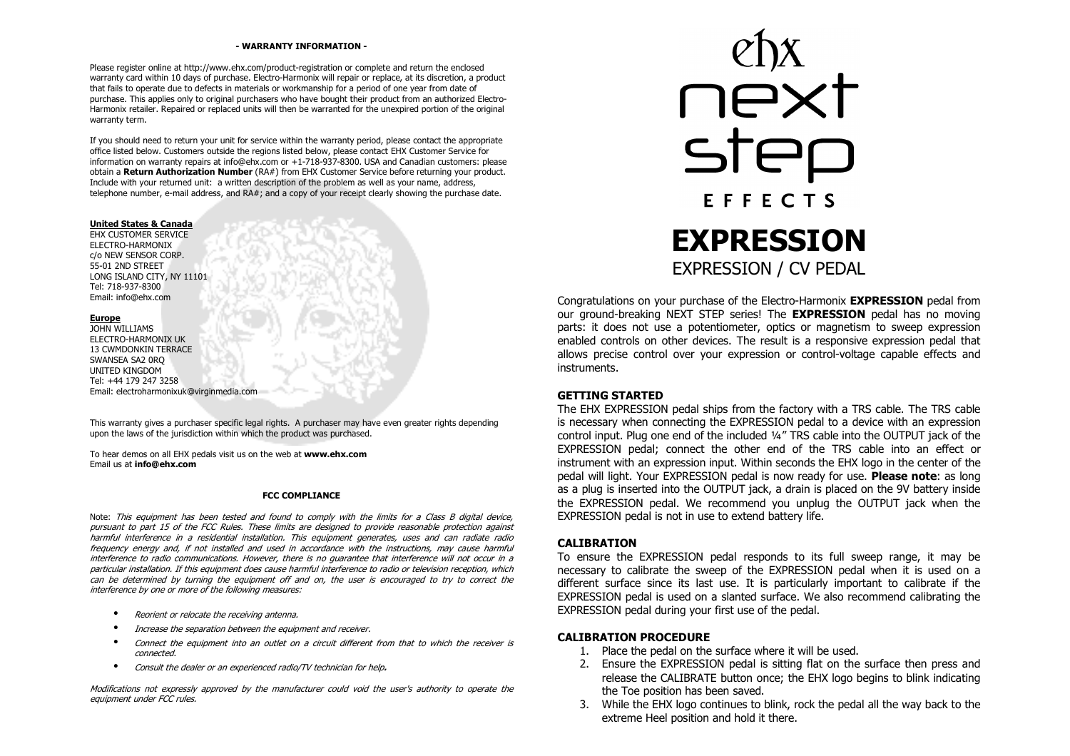#### **- WARRANTY INFORMATION -**

Please register online at http://www.ehx.com/product-registration or complete and return the enclosed warranty card within 10 days of purchase. Electro-Harmonix will repair or replace, at its discretion, a product that fails to operate due to defects in materials or workmanship for a period of one year from date of purchase. This applies only to original purchasers who have bought their product from an authorized Electro-Harmonix retailer. Repaired or replaced units will then be warranted for the unexpired portion of the original warranty term.

If you should need to return your unit for service within the warranty period, please contact the appropriate office listed below. Customers outside the regions listed below, please contact EHX Customer Service for information on warranty repairs at info@ehx.com or +1-718-937-8300. USA and Canadian customers: please obtain a **Return Authorization Number** (RA#) from EHX Customer Service before returning your product. Include with your returned unit: a written description of the problem as well as your name, address, telephone number, e-mail address, and RA#; and a copy of your receipt clearly showing the purchase date.

#### **United States & Canada**

 EHX CUSTOMER SERVICE ELECTRO-HARMONIX c/o NEW SENSOR CORP. 55-01 2ND STREET LONG ISLAND CITY, NY 11101 Tel: 718-937-8300 Email: info@ehx.com

#### **Europe**

 JOHN WILLIAMS ELECTRO-HARMONIX UK 13 CWMDONKIN TERRACE SWANSEA SA2 0RQ UNITED KINGDOM Tel: +44 179 247 3258 Email: electroharmonixuk@virginmedia.com

This warranty gives a purchaser specific legal rights. A purchaser may have even greater rights depending upon the laws of the jurisdiction within which the product was purchased.

To hear demos on all EHX pedals visit us on the web at **www.ehx.com**Email us at **info@ehx.com**

#### **FCC COMPLIANCE**

Note: This equipment has been tested and found to comply with the limits for a Class B digital device, pursuant to part 15 of the FCC Rules. These limits are designed to provide reasonable protection against harmful interference in a residential installation. This equipment generates, uses and can radiate radio frequency energy and, if not installed and used in accordance with the instructions, may cause harmful interference to radio communications. However, there is no guarantee that interference will not occur in a particular installation. If this equipment does cause harmful interference to radio or television reception, which can be determined by turning the equipment off and on, the user is encouraged to try to correct the interference by one or more of the following measures:

- •Reorient or relocate the receiving antenna.
- •Increase the separation between the equipment and receiver.
- • Connect the equipment into an outlet on a circuit different from that to which the receiver is connected.
- •Consult the dealer or an experienced radio/TV technician for help**.**

Modifications not expressly approved by the manufacturer could void the user's authority to operate the equipment under FCC rules.



Congratulations on your purchase of the Electro-Harmonix **EXPRESSION** pedal from our ground-breaking NEXT STEP series! The **EXPRESSION** pedal has no moving parts: it does not use a potentiometer, optics or magnetism to sweep expression enabled controls on other devices. The result is a responsive expression pedal that allows precise control over your expression or control-voltage capable effects and instruments.

### **GETTING STARTED**

 The EHX EXPRESSION pedal ships from the factory with a TRS cable. The TRS cable is necessary when connecting the EXPRESSION pedal to a device with an expression control input. Plug one end of the included ¼" TRS cable into the OUTPUT jack of the EXPRESSION pedal; connect the other end of the TRS cable into an effect or instrument with an expression input. Within seconds the EHX logo in the center of the pedal will light. Your EXPRESSION pedal is now ready for use. **Please note**: as long as a plug is inserted into the OUTPUT jack, a drain is placed on the 9V battery inside the EXPRESSION pedal. We recommend you unplug the OUTPUT jack when the EXPRESSION pedal is not in use to extend battery life.

### **CALIBRATION**

 To ensure the EXPRESSION pedal responds to its full sweep range, it may be necessary to calibrate the sweep of the EXPRESSION pedal when it is used on a different surface since its last use. It is particularly important to calibrate if the EXPRESSION pedal is used on a slanted surface. We also recommend calibrating the EXPRESSION pedal during your first use of the pedal.

### **CALIBRATION PROCEDURE**

- 1. Place the pedal on the surface where it will be used.
- 2. Ensure the EXPRESSION pedal is sitting flat on the surface then press and release the CALIBRATE button once; the EHX logo begins to blink indicating the Toe position has been saved.
- 3. While the EHX logo continues to blink, rock the pedal all the way back to the extreme Heel position and hold it there.